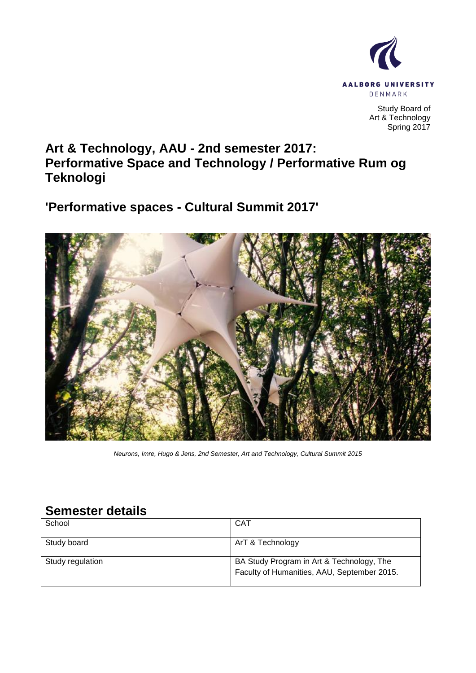

Study Board of Art & Technology Spring 2017

# **Art & Technology, AAU - 2nd semester 2017: Performative Space and Technology / Performative Rum og Teknologi**

**'Performative spaces - Cultural Summit 2017'**



*Neurons, Imre, Hugo & Jens, 2nd Semester, Art and Technology, Cultural Summit 2015*

# **Semester details**

| School           | <b>CAT</b>                                                                               |
|------------------|------------------------------------------------------------------------------------------|
| Study board      | ArT & Technology                                                                         |
| Study regulation | BA Study Program in Art & Technology, The<br>Faculty of Humanities, AAU, September 2015. |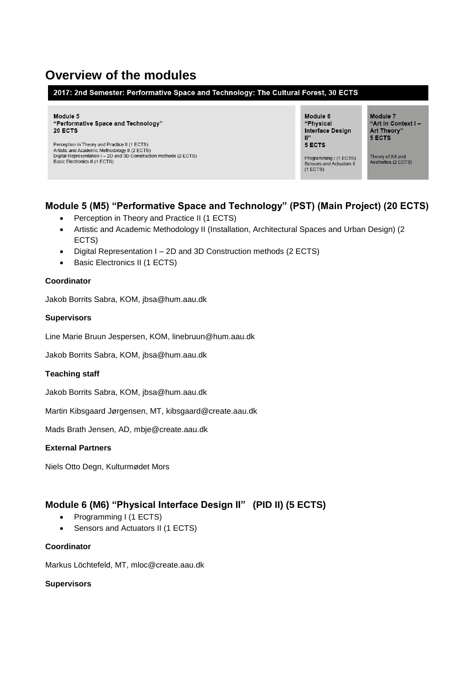# **Overview of the modules**

#### 2017: 2nd Semester: Performative Space and Technology: The Cultural Forest, 30 ECTS

Module 5 "Performative Space and Technology" 20 ECTS

Perception in Theory and Practice II (1 ECTS) Proception in Theory and Practice in (1 ECTS)<br>Artistic and Academic Methodology II (2 ECTS)<br>Digital Representation I – 2D and 3D Construction methods (2 ECTS) Basic Electronics II (1 ECTS)

Module 6 "Physical Interface Design  $\mathbb{P}^2$ 5 ECTS

Module 7 "Art in Context I-Art Theory" 5 ECTS

Theory of Art and<br>Aesthetics (2 ECTS) Programming I (1 ECTS)<br>Sensors and Actuators II<br>(1 ECTS)

# **Module 5 (M5) "Performative Space and Technology" (PST) (Main Project) (20 ECTS)**

- Perception in Theory and Practice II (1 ECTS)
- Artistic and Academic Methodology II (Installation, Architectural Spaces and Urban Design) (2 ECTS)
- Digital Representation I 2D and 3D Construction methods (2 ECTS)
- Basic Electronics II (1 ECTS)

#### **Coordinator**

Jakob Borrits Sabra, KOM, jbsa@hum.aau.dk

#### **Supervisors**

Line Marie Bruun Jespersen, KOM, linebruun@hum.aau.dk

Jakob Borrits Sabra, KOM, jbsa@hum.aau.dk

#### **Teaching staff**

Jakob Borrits Sabra, KOM, jbsa@hum.aau.dk

Martin Kibsgaard Jørgensen, MT, [kibsgaard@create.aau.dk](mailto:kibsgaard@create.aau.dk)

Mads Brath Jensen, AD, mbje@create.aau.dk

#### **External Partners**

Niels Otto Degn, Kulturmødet Mors

# **Module 6 (M6) "Physical Interface Design II" (PID II) (5 ECTS)**

- Programming I (1 ECTS)
- Sensors and Actuators II (1 ECTS)

#### **Coordinator**

Markus Löchtefeld, MT, mloc@create.aau.dk

#### **Supervisors**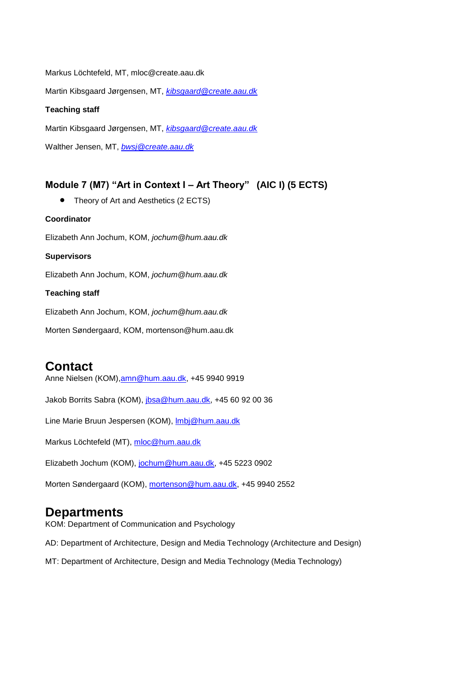Markus Löchtefeld, MT, mloc@create.aau.dk

Martin Kibsgaard Jørgensen, MT, *[kibsgaard@create.aau.dk](mailto:kibsgaard@create.aau.dk)*

#### **Teaching staff**

Martin Kibsgaard Jørgensen, MT, *[kibsgaard@create.aau.dk](mailto:kibsgaard@create.aau.dk)*

Walther Jensen, MT, *[bwsj@create.aau.dk](mailto:bwsj@create.aau.dk)*

# **Module 7 (M7) "Art in Context I – Art Theory" (AIC I) (5 ECTS)**

• Theory of Art and Aesthetics (2 ECTS)

#### **Coordinator**

Elizabeth Ann Jochum, KOM, *jochum@hum.aau.dk*

#### **Supervisors**

Elizabeth Ann Jochum, KOM, *jochum@hum.aau.dk*

#### **Teaching staff**

Elizabeth Ann Jochum, KOM, *jochum@hum.aau.dk*

Morten Søndergaard, KOM, mortenson@hum.aau.dk

# **Contact**

Anne Nielsen (KOM)[,amn@hum.aau.dk,](mailto:amn@hum.aau.dk) +45 9940 9919

Jakob Borrits Sabra (KOM), [jbsa@hum.aau.dk,](mailto:dahlstedt@hum.aau.dk) +45 60 92 00 36

Line Marie Bruun Jespersen (KOM), *Imbj@hum.aau.dk* 

Markus Löchtefeld (MT), [mloc@hum.aau.dk](mailto:dahlstedt@hum.aau.dk)

Elizabeth Jochum (KOM), [jochum@hum.aau.dk,](mailto:jochum@hum.aau.dk) +45 5223 0902

Morten Søndergaard (KOM)[, mortenson@hum.aau.dk,](mailto:mortenson@hum.aau.dk) +45 9940 2552

# **Departments**

KOM: Department of Communication and Psychology

AD: Department of Architecture, Design and Media Technology (Architecture and Design)

MT: Department of Architecture, Design and Media Technology (Media Technology)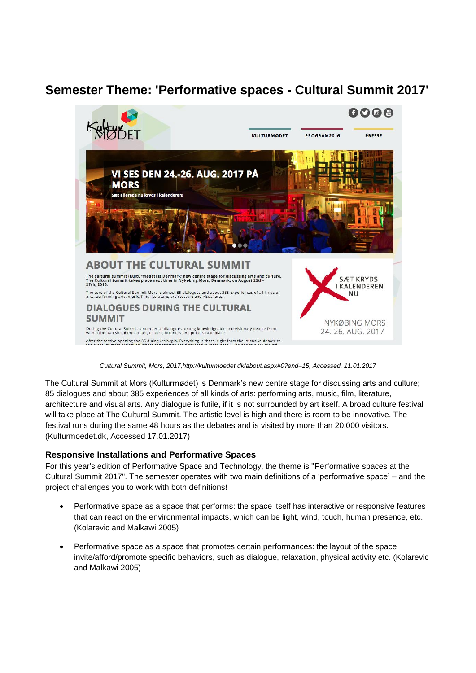# **Semester Theme: 'Performative spaces - Cultural Summit 2017'**



*Cultural Summit, Mors, 2017,http://kulturmoedet.dk/about.aspx#0?end=15, Accessed, 11.01.2017*

The Cultural Summit at Mors (Kulturmødet) is Denmark's new centre stage for discussing arts and culture; 85 dialogues and about 385 experiences of all kinds of arts: performing arts, music, film, literature, architecture and visual arts. Any dialogue is futile, if it is not surrounded by art itself. A broad culture festival will take place at The Cultural Summit. The artistic level is high and there is room to be innovative. The festival runs during the same 48 hours as the debates and is visited by more than 20.000 visitors. (Kulturmoedet.dk, Accessed 17.01.2017)

# **Responsive Installations and Performative Spaces**

For this year's edition of Performative Space and Technology, the theme is "Performative spaces at the Cultural Summit 2017". The semester operates with two main definitions of a 'performative space' – and the project challenges you to work with both definitions!

- Performative space as a space that performs: the space itself has interactive or responsive features that can react on the environmental impacts, which can be light, wind, touch, human presence, etc. (Kolarevic and Malkawi 2005)
- Performative space as a space that promotes certain performances: the layout of the space invite/afford/promote specific behaviors, such as dialogue, relaxation, physical activity etc. (Kolarevic and Malkawi 2005)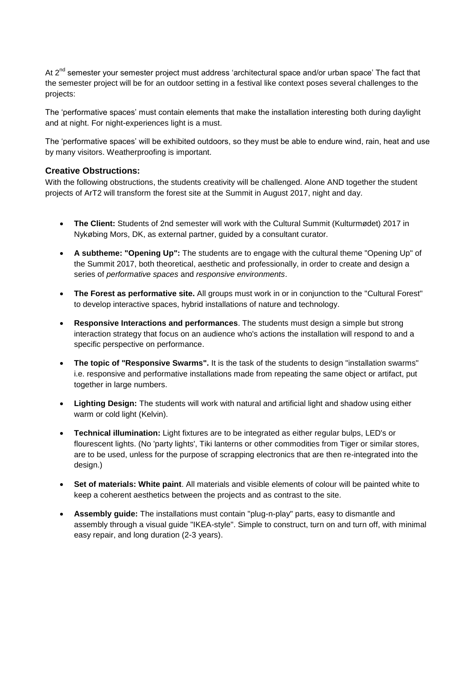At 2<sup>nd</sup> semester your semester project must address 'architectural space and/or urban space' The fact that the semester project will be for an outdoor setting in a festival like context poses several challenges to the projects:

The 'performative spaces' must contain elements that make the installation interesting both during daylight and at night. For night-experiences light is a must.

The 'performative spaces' will be exhibited outdoors, so they must be able to endure wind, rain, heat and use by many visitors. Weatherproofing is important.

#### **Creative Obstructions:**

With the following obstructions, the students creativity will be challenged. Alone AND together the student projects of ArT2 will transform the forest site at the Summit in August 2017, night and day.

- **The Client:** Students of 2nd semester will work with the Cultural Summit (Kulturmødet) 2017 in Nykøbing Mors, DK, as external partner, guided by a consultant curator.
- **A subtheme: "Opening Up":** The students are to engage with the cultural theme "Opening Up" of the Summit 2017, both theoretical, aesthetic and professionally, in order to create and design a series of *performative spaces* and *responsive environments*.
- **The Forest as performative site.** All groups must work in or in conjunction to the "Cultural Forest" to develop interactive spaces, hybrid installations of nature and technology.
- **Responsive Interactions and performances**. The students must design a simple but strong interaction strategy that focus on an audience who's actions the installation will respond to and a specific perspective on performance.
- **The topic of "Responsive Swarms".** It is the task of the students to design "installation swarms" i.e. responsive and performative installations made from repeating the same object or artifact, put together in large numbers.
- **Lighting Design:** The students will work with natural and artificial light and shadow using either warm or cold light (Kelvin).
- **Technical illumination:** Light fixtures are to be integrated as either regular bulps, LED's or flourescent lights. (No 'party lights', Tiki lanterns or other commodities from Tiger or similar stores, are to be used, unless for the purpose of scrapping electronics that are then re-integrated into the design.)
- **Set of materials: White paint**. All materials and visible elements of colour will be painted white to keep a coherent aesthetics between the projects and as contrast to the site.
- **Assembly guide:** The installations must contain "plug-n-play" parts, easy to dismantle and assembly through a visual guide "IKEA-style". Simple to construct, turn on and turn off, with minimal easy repair, and long duration (2-3 years).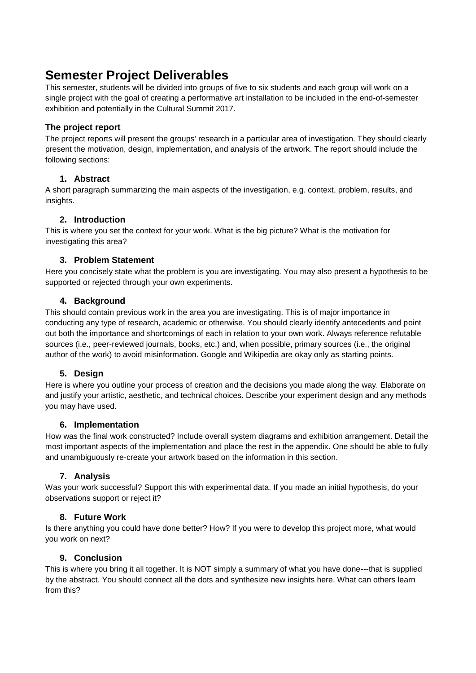# **Semester Project Deliverables**

This semester, students will be divided into groups of five to six students and each group will work on a single project with the goal of creating a performative art installation to be included in the end-of-semester exhibition and potentially in the Cultural Summit 2017.

# **The project report**

The project reports will present the groups' research in a particular area of investigation. They should clearly present the motivation, design, implementation, and analysis of the artwork. The report should include the following sections:

# **1. Abstract**

A short paragraph summarizing the main aspects of the investigation, e.g. context, problem, results, and insights.

# **2. Introduction**

This is where you set the context for your work. What is the big picture? What is the motivation for investigating this area?

# **3. Problem Statement**

Here you concisely state what the problem is you are investigating. You may also present a hypothesis to be supported or rejected through your own experiments.

# **4. Background**

This should contain previous work in the area you are investigating. This is of major importance in conducting any type of research, academic or otherwise. You should clearly identify antecedents and point out both the importance and shortcomings of each in relation to your own work. Always reference refutable sources (i.e., peer-reviewed journals, books, etc.) and, when possible, primary sources (i.e., the original author of the work) to avoid misinformation. Google and Wikipedia are okay only as starting points.

# **5. Design**

Here is where you outline your process of creation and the decisions you made along the way. Elaborate on and justify your artistic, aesthetic, and technical choices. Describe your experiment design and any methods you may have used.

# **6. Implementation**

How was the final work constructed? Include overall system diagrams and exhibition arrangement. Detail the most important aspects of the implementation and place the rest in the appendix. One should be able to fully and unambiguously re-create your artwork based on the information in this section.

# **7. Analysis**

Was your work successful? Support this with experimental data. If you made an initial hypothesis, do your observations support or reject it?

# **8. Future Work**

Is there anything you could have done better? How? If you were to develop this project more, what would you work on next?

# **9. Conclusion**

This is where you bring it all together. It is NOT simply a summary of what you have done---that is supplied by the abstract. You should connect all the dots and synthesize new insights here. What can others learn from this?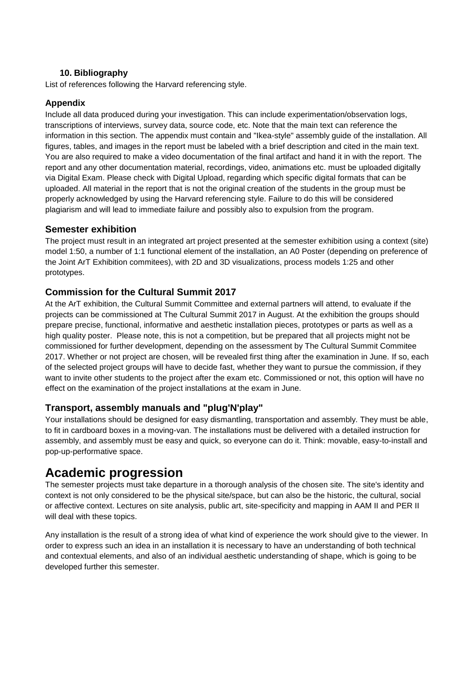# **10. Bibliography**

List of references following the Harvard referencing style.

# **Appendix**

Include all data produced during your investigation. This can include experimentation/observation logs, transcriptions of interviews, survey data, source code, etc. Note that the main text can reference the information in this section. The appendix must contain and "Ikea-style" assembly guide of the installation. All figures, tables, and images in the report must be labeled with a brief description and cited in the main text. You are also required to make a video documentation of the final artifact and hand it in with the report. The report and any other documentation material, recordings, video, animations etc. must be uploaded digitally via Digital Exam. Please check with Digital Upload, regarding which specific digital formats that can be uploaded. All material in the report that is not the original creation of the students in the group must be properly acknowledged by using the Harvard referencing style. Failure to do this will be considered plagiarism and will lead to immediate failure and possibly also to expulsion from the program.

# **Semester exhibition**

The project must result in an integrated art project presented at the semester exhibition using a context (site) model 1:50, a number of 1:1 functional element of the installation, an A0 Poster (depending on preference of the Joint ArT Exhibition commitees), with 2D and 3D visualizations, process models 1:25 and other prototypes.

# **Commission for the Cultural Summit 2017**

At the ArT exhibition, the Cultural Summit Committee and external partners will attend, to evaluate if the projects can be commissioned at The Cultural Summit 2017 in August. At the exhibition the groups should prepare precise, functional, informative and aesthetic installation pieces, prototypes or parts as well as a high quality poster. Please note, this is not a competition, but be prepared that all projects might not be commissioned for further development, depending on the assessment by The Cultural Summit Commitee 2017. Whether or not project are chosen, will be revealed first thing after the examination in June. If so, each of the selected project groups will have to decide fast, whether they want to pursue the commission, if they want to invite other students to the project after the exam etc. Commissioned or not, this option will have no effect on the examination of the project installations at the exam in June.

# **Transport, assembly manuals and "plug'N'play"**

Your installations should be designed for easy dismantling, transportation and assembly. They must be able, to fit in cardboard boxes in a moving-van. The installations must be delivered with a detailed instruction for assembly, and assembly must be easy and quick, so everyone can do it. Think: movable, easy-to-install and pop-up-performative space.

# **Academic progression**

The semester projects must take departure in a thorough analysis of the chosen site. The site's identity and context is not only considered to be the physical site/space, but can also be the historic, the cultural, social or affective context. Lectures on site analysis, public art, site-specificity and mapping in AAM II and PER II will deal with these topics.

Any installation is the result of a strong idea of what kind of experience the work should give to the viewer. In order to express such an idea in an installation it is necessary to have an understanding of both technical and contextual elements, and also of an individual aesthetic understanding of shape, which is going to be developed further this semester.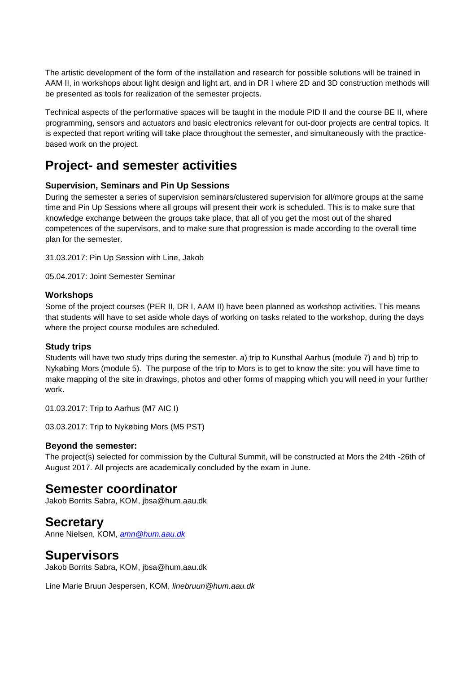The artistic development of the form of the installation and research for possible solutions will be trained in AAM II, in workshops about light design and light art, and in DR I where 2D and 3D construction methods will be presented as tools for realization of the semester projects.

Technical aspects of the performative spaces will be taught in the module PID II and the course BE II, where programming, sensors and actuators and basic electronics relevant for out-door projects are central topics. It is expected that report writing will take place throughout the semester, and simultaneously with the practicebased work on the project.

# **Project- and semester activities**

# **Supervision, Seminars and Pin Up Sessions**

During the semester a series of supervision seminars/clustered supervision for all/more groups at the same time and Pin Up Sessions where all groups will present their work is scheduled. This is to make sure that knowledge exchange between the groups take place, that all of you get the most out of the shared competences of the supervisors, and to make sure that progression is made according to the overall time plan for the semester.

31.03.2017: Pin Up Session with Line, Jakob

05.04.2017: Joint Semester Seminar

#### **Workshops**

Some of the project courses (PER II, DR I, AAM II) have been planned as workshop activities. This means that students will have to set aside whole days of working on tasks related to the workshop, during the days where the project course modules are scheduled.

# **Study trips**

Students will have two study trips during the semester. a) trip to Kunsthal Aarhus (module 7) and b) trip to Nykøbing Mors (module 5). The purpose of the trip to Mors is to get to know the site: you will have time to make mapping of the site in drawings, photos and other forms of mapping which you will need in your further work.

01.03.2017: Trip to Aarhus (M7 AIC I)

03.03.2017: Trip to Nykøbing Mors (M5 PST)

#### **Beyond the semester:**

The project(s) selected for commission by the Cultural Summit, will be constructed at Mors the 24th -26th of August 2017. All projects are academically concluded by the exam in June.

# **Semester coordinator**

Jakob Borrits Sabra, KOM, jbsa@hum.aau.dk

# **Secretary**

Anne Nielsen, KOM, *[amn@hum.aau.dk](mailto:amn@hum.aau.dk)*

# **Supervisors**

Jakob Borrits Sabra, KOM, jbsa@hum.aau.dk

Line Marie Bruun Jespersen, KOM, *linebruun@hum.aau.dk*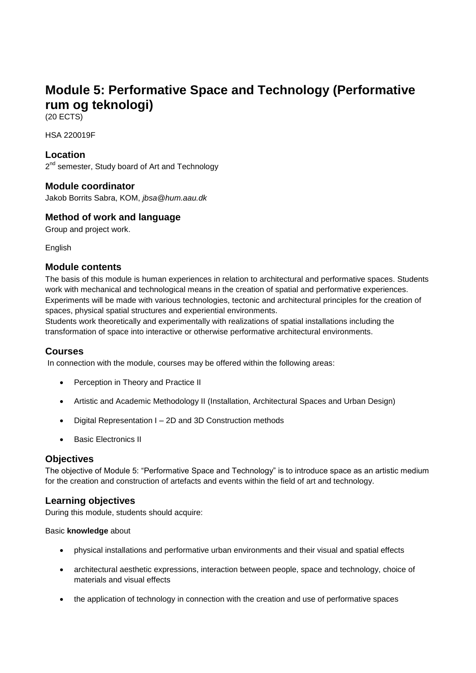# **Module 5: Performative Space and Technology (Performative rum og teknologi)**

(20 ECTS)

HSA 220019F

# **Location**

2<sup>nd</sup> semester, Study board of Art and Technology

# **Module coordinator**

Jakob Borrits Sabra, KOM, *jbsa@hum.aau.dk*

# **Method of work and language**

Group and project work.

English

# **Module contents**

The basis of this module is human experiences in relation to architectural and performative spaces. Students work with mechanical and technological means in the creation of spatial and performative experiences. Experiments will be made with various technologies, tectonic and architectural principles for the creation of spaces, physical spatial structures and experiential environments.

Students work theoretically and experimentally with realizations of spatial installations including the transformation of space into interactive or otherwise performative architectural environments.

# **Courses**

In connection with the module, courses may be offered within the following areas:

- Perception in Theory and Practice II
- Artistic and Academic Methodology II (Installation, Architectural Spaces and Urban Design)
- Digital Representation I 2D and 3D Construction methods
- Basic Electronics II

# **Objectives**

The objective of Module 5: "Performative Space and Technology" is to introduce space as an artistic medium for the creation and construction of artefacts and events within the field of art and technology.

# **Learning objectives**

During this module, students should acquire:

#### Basic **knowledge** about

- physical installations and performative urban environments and their visual and spatial effects
- architectural aesthetic expressions, interaction between people, space and technology, choice of materials and visual effects
- the application of technology in connection with the creation and use of performative spaces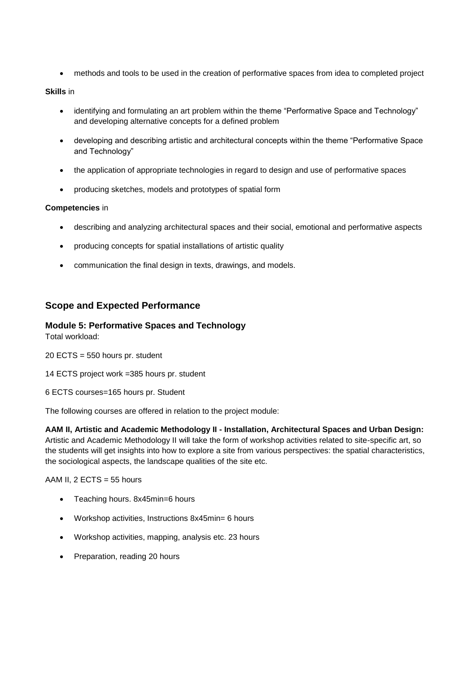methods and tools to be used in the creation of performative spaces from idea to completed project

#### **Skills** in

- identifying and formulating an art problem within the theme "Performative Space and Technology" and developing alternative concepts for a defined problem
- developing and describing artistic and architectural concepts within the theme "Performative Space and Technology"
- the application of appropriate technologies in regard to design and use of performative spaces
- producing sketches, models and prototypes of spatial form

#### **Competencies** in

- describing and analyzing architectural spaces and their social, emotional and performative aspects
- producing concepts for spatial installations of artistic quality
- communication the final design in texts, drawings, and models.

# **Scope and Expected Performance**

#### **Module 5: Performative Spaces and Technology**

Total workload:

20 ECTS = 550 hours pr. student

14 ECTS project work =385 hours pr. student

6 ECTS courses=165 hours pr. Student

The following courses are offered in relation to the project module:

#### **AAM II, Artistic and Academic Methodology II - Installation, Architectural Spaces and Urban Design:**

Artistic and Academic Methodology II will take the form of workshop activities related to site-specific art, so the students will get insights into how to explore a site from various perspectives: the spatial characteristics, the sociological aspects, the landscape qualities of the site etc.

AAM II,  $2$  ECTS = 55 hours

- Teaching hours. 8x45min=6 hours
- Workshop activities, Instructions 8x45min= 6 hours
- Workshop activities, mapping, analysis etc. 23 hours
- Preparation, reading 20 hours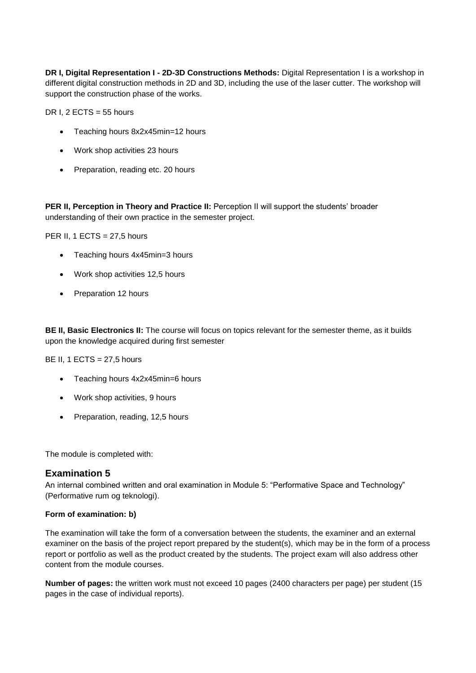**DR I, Digital Representation I - 2D-3D Constructions Methods:** Digital Representation I is a workshop in different digital construction methods in 2D and 3D, including the use of the laser cutter. The workshop will support the construction phase of the works.

DR I,  $2$  ECTS = 55 hours

- Teaching hours 8x2x45min=12 hours
- Work shop activities 23 hours
- Preparation, reading etc. 20 hours

**PER II, Perception in Theory and Practice II:** Perception II will support the students' broader understanding of their own practice in the semester project.

PER II, 1 ECTS =  $27.5$  hours

- Teaching hours 4x45min=3 hours
- Work shop activities 12,5 hours
- Preparation 12 hours

**BE II, Basic Electronics II:** The course will focus on topics relevant for the semester theme, as it builds upon the knowledge acquired during first semester

BE II, 1 ECTS =  $27,5$  hours

- Teaching hours 4x2x45min=6 hours
- Work shop activities, 9 hours
- Preparation, reading, 12,5 hours

The module is completed with:

# **Examination 5**

An internal combined written and oral examination in Module 5: "Performative Space and Technology" (Performative rum og teknologi).

#### **Form of examination: b)**

The examination will take the form of a conversation between the students, the examiner and an external examiner on the basis of the project report prepared by the student(s), which may be in the form of a process report or portfolio as well as the product created by the students. The project exam will also address other content from the module courses.

**Number of pages:** the written work must not exceed 10 pages (2400 characters per page) per student (15 pages in the case of individual reports).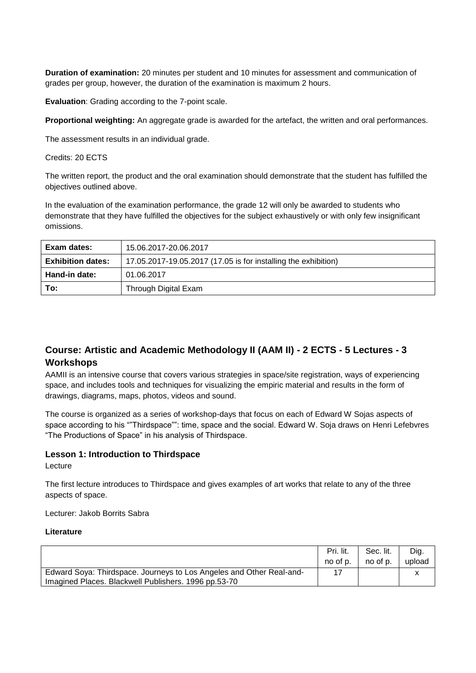**Duration of examination:** 20 minutes per student and 10 minutes for assessment and communication of grades per group, however, the duration of the examination is maximum 2 hours.

**Evaluation:** Grading according to the 7-point scale.

**Proportional weighting:** An aggregate grade is awarded for the artefact, the written and oral performances.

The assessment results in an individual grade.

Credits: 20 ECTS

The written report, the product and the oral examination should demonstrate that the student has fulfilled the objectives outlined above.

In the evaluation of the examination performance, the grade 12 will only be awarded to students who demonstrate that they have fulfilled the objectives for the subject exhaustively or with only few insignificant omissions.

| Exam dates:              | 15.06.2017-20.06.2017                                          |
|--------------------------|----------------------------------------------------------------|
| <b>Exhibition dates:</b> | 17.05.2017-19.05.2017 (17.05 is for installing the exhibition) |
| Hand-in date:            | 01.06.2017                                                     |
| To:                      | Through Digital Exam                                           |

# **Course: Artistic and Academic Methodology II (AAM II) - 2 ECTS - 5 Lectures - 3 Workshops**

AAMII is an intensive course that covers various strategies in space/site registration, ways of experiencing space, and includes tools and techniques for visualizing the empiric material and results in the form of drawings, diagrams, maps, photos, videos and sound.

The course is organized as a series of workshop-days that focus on each of Edward W Sojas aspects of space according to his ""Thirdspace"": time, space and the social. Edward W. Soja draws on Henri Lefebvres "The Productions of Space" in his analysis of Thirdspace.

#### **Lesson 1: Introduction to Thirdspace**

Lecture

The first lecture introduces to Thirdspace and gives examples of art works that relate to any of the three aspects of space.

Lecturer: Jakob Borrits Sabra

|                                                                      | Pri. lit. | Sec. lit. | Dig.   |
|----------------------------------------------------------------------|-----------|-----------|--------|
|                                                                      | no of p.  | no of p.  | upload |
| Edward Soya: Thirdspace. Journeys to Los Angeles and Other Real-and- |           |           |        |
| Imagined Places. Blackwell Publishers. 1996 pp.53-70                 |           |           |        |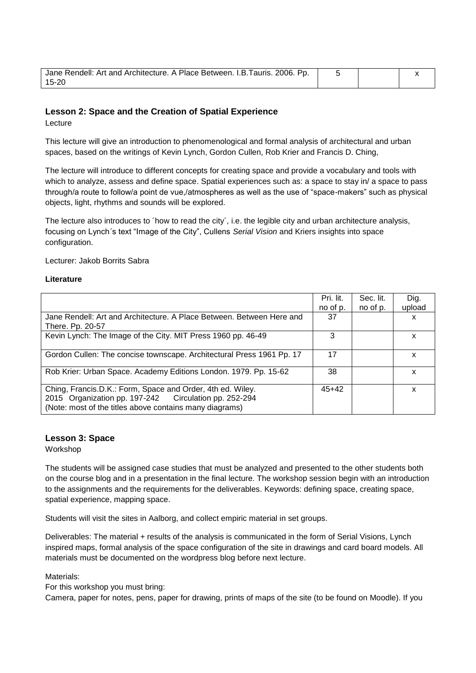| Jane Rendell: Art and Architecture. A Place Between. I.B. Tauris. 2006. Pp. |  |  |
|-----------------------------------------------------------------------------|--|--|
| $15 - 20$                                                                   |  |  |

#### **Lesson 2: Space and the Creation of Spatial Experience**

Lecture

This lecture will give an introduction to phenomenological and formal analysis of architectural and urban spaces, based on the writings of Kevin Lynch, Gordon Cullen, Rob Krier and Francis D. Ching,

The lecture will introduce to different concepts for creating space and provide a vocabulary and tools with which to analyze, assess and define space. Spatial experiences such as: a space to stay in/ a space to pass through/a route to follow/a point de vue,/atmospheres as well as the use of "space-makers" such as physical objects, light, rhythms and sounds will be explored.

The lecture also introduces to ´how to read the city´, i.e. the legible city and urban architecture analysis, focusing on Lynch´s text "Image of the City", Cullens *Serial Vision* and Kriers insights into space configuration.

Lecturer: Jakob Borrits Sabra

#### **Literature**

|                                                                                                                                                                                | Pri. lit. | Sec. lit. | Dig.   |
|--------------------------------------------------------------------------------------------------------------------------------------------------------------------------------|-----------|-----------|--------|
|                                                                                                                                                                                | no of p.  | no of p.  | upload |
| Jane Rendell: Art and Architecture. A Place Between. Between Here and<br>There. Pp. 20-57                                                                                      | 37        |           | x      |
| Kevin Lynch: The Image of the City. MIT Press 1960 pp. 46-49                                                                                                                   | з         |           | х      |
| Gordon Cullen: The concise townscape. Architectural Press 1961 Pp. 17                                                                                                          | 17        |           | x      |
| Rob Krier: Urban Space. Academy Editions London. 1979. Pp. 15-62                                                                                                               | 38        |           | x      |
| Ching, Francis.D.K.: Form, Space and Order, 4th ed. Wiley.<br>2015 Organization pp. 197-242 Circulation pp. 252-294<br>(Note: most of the titles above contains many diagrams) | $45+42$   |           | x      |

#### **Lesson 3: Space**

Workshop

The students will be assigned case studies that must be analyzed and presented to the other students both on the course blog and in a presentation in the final lecture. The workshop session begin with an introduction to the assignments and the requirements for the deliverables. Keywords: defining space, creating space, spatial experience, mapping space.

Students will visit the sites in Aalborg, and collect empiric material in set groups.

Deliverables: The material + results of the analysis is communicated in the form of Serial Visions, Lynch inspired maps, formal analysis of the space configuration of the site in drawings and card board models. All materials must be documented on the wordpress blog before next lecture.

Materials:

For this workshop you must bring:

Camera, paper for notes, pens, paper for drawing, prints of maps of the site (to be found on Moodle). If you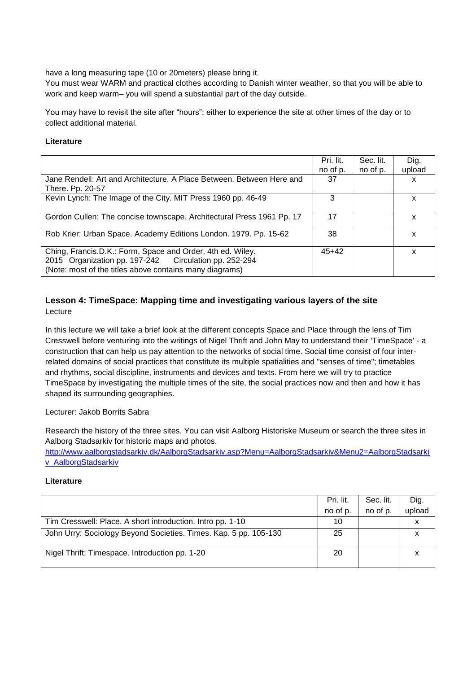have a long measuring tape (10 or 20meters) please bring it.

You must wear WARM and practical clothes according to Danish winter weather, so that you will be able to work and keep warm– you will spend a substantial part of the day outside.

You may have to revisit the site after "hours"; either to experience the site at other times of the day or to collect additional material.

#### **Literature**

|                                                                                                                                                                                | Pri. lit.<br>no of p. | Sec. lit.<br>no of p. | Dig.<br>upload |
|--------------------------------------------------------------------------------------------------------------------------------------------------------------------------------|-----------------------|-----------------------|----------------|
| Jane Rendell: Art and Architecture. A Place Between. Between Here and<br>There. Pp. 20-57                                                                                      | 37                    |                       | x              |
| Kevin Lynch: The Image of the City. MIT Press 1960 pp. 46-49                                                                                                                   | 3                     |                       | x              |
| Gordon Cullen: The concise townscape. Architectural Press 1961 Pp. 17                                                                                                          | 17                    |                       | x              |
| Rob Krier: Urban Space. Academy Editions London. 1979. Pp. 15-62                                                                                                               | 38                    |                       | x              |
| Ching, Francis.D.K.: Form, Space and Order, 4th ed. Wiley.<br>2015 Organization pp. 197-242 Circulation pp. 252-294<br>(Note: most of the titles above contains many diagrams) | $45+42$               |                       | x              |

# **Lesson 4: TimeSpace: Mapping time and investigating various layers of the site** Lecture

In this lecture we will take a brief look at the different concepts Space and Place through the lens of Tim Cresswell before venturing into the writings of Nigel Thrift and John May to understand their 'TimeSpace' - a construction that can help us pay attention to the networks of social time. Social time consist of four interrelated domains of social practices that constitute its multiple spatialities and "senses of time"; timetables and rhythms, social discipline, instruments and devices and texts. From here we will try to practice TimeSpace by investigating the multiple times of the site, the social practices now and then and how it has shaped its surrounding geographies.

#### Lecturer: Jakob Borrits Sabra

Research the history of the three sites. You can visit Aalborg Historiske Museum or search the three sites in Aalborg Stadsarkiv for historic maps and photos.

[http://www.aalborgstadsarkiv.dk/AalborgStadsarkiv.asp?Menu=AalborgStadsarkiv&Menu2=AalborgStadsarki](http://www.aalborgstadsarkiv.dk/AalborgStadsarkiv.asp?Menu=AalborgStadsarkiv&Menu2=AalborgStadsarkiv_AalborgStadsarkiv) [v\\_AalborgStadsarkiv](http://www.aalborgstadsarkiv.dk/AalborgStadsarkiv.asp?Menu=AalborgStadsarkiv&Menu2=AalborgStadsarkiv_AalborgStadsarkiv)

|                                                                  | Pri. lit. | Sec. lit. | Dig.   |
|------------------------------------------------------------------|-----------|-----------|--------|
|                                                                  | no of p.  | no of p.  | upload |
| Tim Cresswell: Place. A short introduction. Intro pp. 1-10       | 10        |           |        |
| John Urry: Sociology Beyond Societies. Times. Kap. 5 pp. 105-130 | 25        |           |        |
| Nigel Thrift: Timespace. Introduction pp. 1-20                   | 20        |           |        |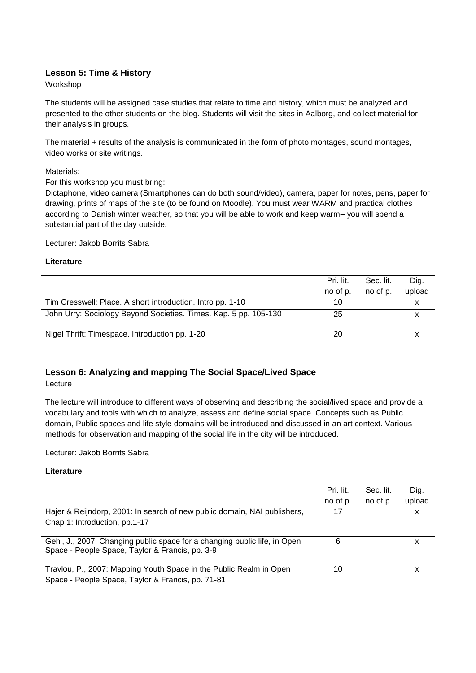# **Lesson 5: Time & History**

Workshop

The students will be assigned case studies that relate to time and history, which must be analyzed and presented to the other students on the blog. Students will visit the sites in Aalborg, and collect material for their analysis in groups.

The material + results of the analysis is communicated in the form of photo montages, sound montages, video works or site writings.

#### Materials:

For this workshop you must bring:

Dictaphone, video camera (Smartphones can do both sound/video), camera, paper for notes, pens, paper for drawing, prints of maps of the site (to be found on Moodle). You must wear WARM and practical clothes according to Danish winter weather, so that you will be able to work and keep warm– you will spend a substantial part of the day outside.

Lecturer: Jakob Borrits Sabra

#### **Literature**

|                                                                  | Pri. lit. | Sec. lit. | Dig.   |
|------------------------------------------------------------------|-----------|-----------|--------|
|                                                                  | no of p.  | no of p.  | upload |
| Tim Cresswell: Place. A short introduction. Intro pp. 1-10       | 10        |           |        |
| John Urry: Sociology Beyond Societies. Times. Kap. 5 pp. 105-130 | 25        |           |        |
| Nigel Thrift: Timespace. Introduction pp. 1-20                   | 20        |           |        |

# **Lesson 6: Analyzing and mapping The Social Space/Lived Space**

Lecture

The lecture will introduce to different ways of observing and describing the social/lived space and provide a vocabulary and tools with which to analyze, assess and define social space. Concepts such as Public domain, Public spaces and life style domains will be introduced and discussed in an art context. Various methods for observation and mapping of the social life in the city will be introduced.

Lecturer: Jakob Borrits Sabra

|                                                                           | Pri. lit. | Sec. lit. | Dig.   |
|---------------------------------------------------------------------------|-----------|-----------|--------|
|                                                                           | no of p.  | no of p.  | upload |
| Hajer & Reijndorp, 2001: In search of new public domain, NAI publishers,  | 17        |           | х      |
| Chap 1: Introduction, pp.1-17                                             |           |           |        |
|                                                                           |           |           |        |
| Gehl, J., 2007: Changing public space for a changing public life, in Open | 6         |           | x      |
| Space - People Space, Taylor & Francis, pp. 3-9                           |           |           |        |
| Travlou, P., 2007: Mapping Youth Space in the Public Realm in Open        | 10        |           | х      |
| Space - People Space, Taylor & Francis, pp. 71-81                         |           |           |        |
|                                                                           |           |           |        |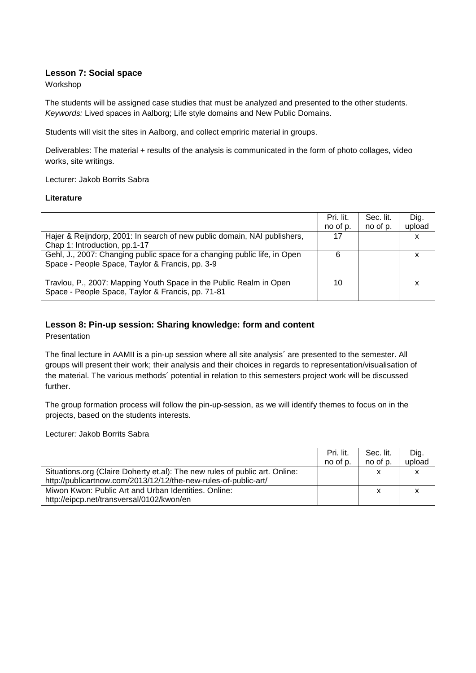#### **Lesson 7: Social space**

Workshop

The students will be assigned case studies that must be analyzed and presented to the other students. *Keywords:* Lived spaces in Aalborg; Life style domains and New Public Domains.

Students will visit the sites in Aalborg, and collect empriric material in groups.

Deliverables: The material + results of the analysis is communicated in the form of photo collages, video works, site writings.

Lecturer: Jakob Borrits Sabra

#### **Literature**

|                                                                           | Pri. lit. | Sec. lit. | Dig.   |
|---------------------------------------------------------------------------|-----------|-----------|--------|
|                                                                           | no of p.  | no of p.  | upload |
| Hajer & Reijndorp, 2001: In search of new public domain, NAI publishers,  | 17        |           | x      |
| Chap 1: Introduction, pp.1-17                                             |           |           |        |
| Gehl, J., 2007: Changing public space for a changing public life, in Open | 6         |           |        |
| Space - People Space, Taylor & Francis, pp. 3-9                           |           |           |        |
|                                                                           |           |           |        |
| Travlou, P., 2007: Mapping Youth Space in the Public Realm in Open        | 10        |           |        |
| Space - People Space, Taylor & Francis, pp. 71-81                         |           |           |        |
|                                                                           |           |           |        |

# **Lesson 8: Pin-up session: Sharing knowledge: form and content**

Presentation

The final lecture in AAMII is a pin-up session where all site analysis´ are presented to the semester. All groups will present their work; their analysis and their choices in regards to representation/visualisation of the material. The various methods´ potential in relation to this semesters project work will be discussed further.

The group formation process will follow the pin-up-session, as we will identify themes to focus on in the projects, based on the students interests.

Lecturer*:* Jakob Borrits Sabra

|                                                                             | Pri. lit. | Sec. lit. | Dig.   |
|-----------------------------------------------------------------------------|-----------|-----------|--------|
|                                                                             | no of p.  | no of p.  | upload |
| Situations.org (Claire Doherty et.al): The new rules of public art. Online: |           | х         |        |
| http://publicartnow.com/2013/12/12/the-new-rules-of-public-art/             |           |           |        |
| Miwon Kwon: Public Art and Urban Identities. Online:                        |           | x         |        |
| http://eipcp.net/transversal/0102/kwon/en                                   |           |           |        |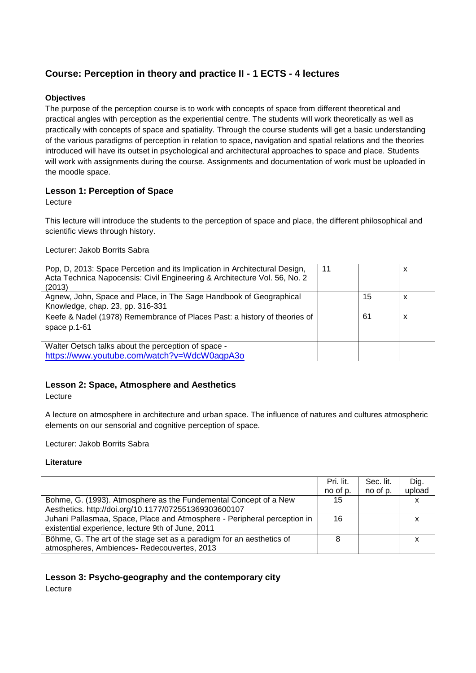# **Course: Perception in theory and practice II - 1 ECTS - 4 lectures**

#### **Objectives**

The purpose of the perception course is to work with concepts of space from different theoretical and practical angles with perception as the experiential centre. The students will work theoretically as well as practically with concepts of space and spatiality. Through the course students will get a basic understanding of the various paradigms of perception in relation to space, navigation and spatial relations and the theories introduced will have its outset in psychological and architectural approaches to space and place. Students will work with assignments during the course. Assignments and documentation of work must be uploaded in the moodle space.

# **Lesson 1: Perception of Space**

Lecture

This lecture will introduce the students to the perception of space and place, the different philosophical and scientific views through history.

Lecturer: Jakob Borrits Sabra

| 11 |    | x |
|----|----|---|
|    |    |   |
|    |    |   |
|    | 15 | x |
|    |    |   |
|    | 61 | x |
|    |    |   |
|    |    |   |
|    |    |   |
|    |    |   |
|    |    |   |

# **Lesson 2: Space, Atmosphere and Aesthetics**

Lecture

A lecture on atmosphere in architecture and urban space. The influence of natures and cultures atmospheric elements on our sensorial and cognitive perception of space.

Lecturer: Jakob Borrits Sabra

#### **Literature**

|                                                                                                                               | Pri. lit.<br>no of p. | Sec. lit.<br>no of p. | Dig.<br>upload |
|-------------------------------------------------------------------------------------------------------------------------------|-----------------------|-----------------------|----------------|
| Bohme, G. (1993). Atmosphere as the Fundemental Concept of a New<br>Aesthetics. http://doi.org/10.1177/072551369303600107     | 15                    |                       |                |
| Juhani Pallasmaa, Space, Place and Atmosphere - Peripheral perception in<br>existential experience, lecture 9th of June, 2011 | 16                    |                       |                |
| Böhme, G. The art of the stage set as a paradigm for an aesthetics of<br>atmospheres, Ambiences-Redecouvertes, 2013           | 8                     |                       |                |

# **Lesson 3: Psycho-geography and the contemporary city**

Lecture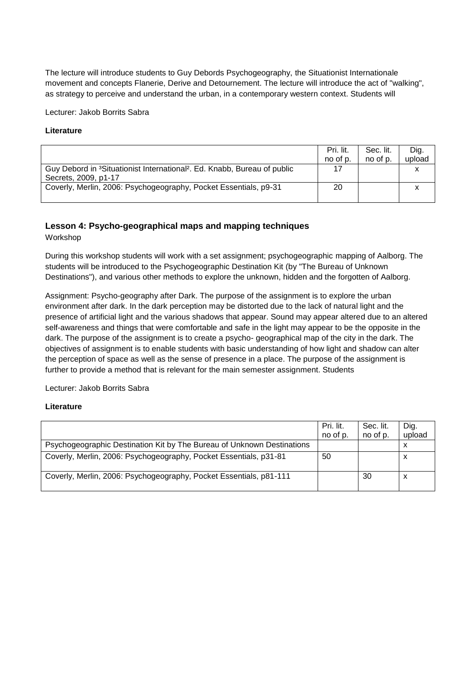The lecture will introduce students to Guy Debords Psychogeography, the Situationist Internationale movement and concepts Flanerie, Derive and Detournement. The lecture will introduce the act of "walking", as strategy to perceive and understand the urban, in a contemporary western context. Students will

Lecturer: Jakob Borrits Sabra

#### **Literature**

|                                                                                                  | Pri. lit. | Sec. lit. | Dig.   |
|--------------------------------------------------------------------------------------------------|-----------|-----------|--------|
|                                                                                                  | no of p.  | no of p.  | upload |
| Guy Debord in <sup>3</sup> Situationist International <sup>2</sup> . Ed. Knabb, Bureau of public | 17        |           |        |
| Secrets, 2009, p1-17                                                                             |           |           |        |
| Coverly, Merlin, 2006: Psychogeography, Pocket Essentials, p9-31                                 | 20        |           |        |
|                                                                                                  |           |           |        |

#### **Lesson 4: Psycho-geographical maps and mapping techniques**

Workshop

During this workshop students will work with a set assignment; psychogeographic mapping of Aalborg. The students will be introduced to the Psychogeographic Destination Kit (by "The Bureau of Unknown Destinations"), and various other methods to explore the unknown, hidden and the forgotten of Aalborg.

Assignment: Psycho-geography after Dark. The purpose of the assignment is to explore the urban environment after dark. In the dark perception may be distorted due to the lack of natural light and the presence of artificial light and the various shadows that appear. Sound may appear altered due to an altered self-awareness and things that were comfortable and safe in the light may appear to be the opposite in the dark. The purpose of the assignment is to create a psycho- geographical map of the city in the dark. The objectives of assignment is to enable students with basic understanding of how light and shadow can alter the perception of space as well as the sense of presence in a place. The purpose of the assignment is further to provide a method that is relevant for the main semester assignment. Students

Lecturer: Jakob Borrits Sabra

|                                                                        | Pri. lit.<br>no of p. | Sec. lit.<br>no of p. | Dig.<br>upload |
|------------------------------------------------------------------------|-----------------------|-----------------------|----------------|
| Psychogeographic Destination Kit by The Bureau of Unknown Destinations |                       |                       |                |
| Coverly, Merlin, 2006: Psychogeography, Pocket Essentials, p31-81      | 50                    |                       | x              |
| Coverly, Merlin, 2006: Psychogeography, Pocket Essentials, p81-111     |                       | 30                    |                |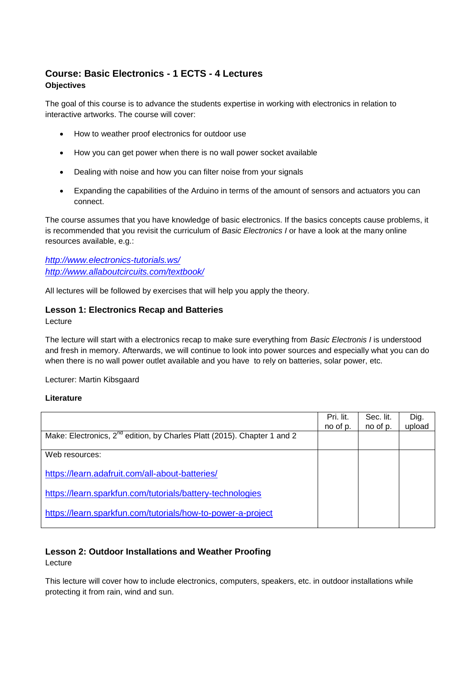# **Course: Basic Electronics - 1 ECTS - 4 Lectures Objectives**

The goal of this course is to advance the students expertise in working with electronics in relation to interactive artworks. The course will cover:

- How to weather proof electronics for outdoor use
- How you can get power when there is no wall power socket available
- Dealing with noise and how you can filter noise from your signals
- Expanding the capabilities of the Arduino in terms of the amount of sensors and actuators you can connect.

The course assumes that you have knowledge of basic electronics. If the basics concepts cause problems, it is recommended that you revisit the curriculum of *Basic Electronics I* or have a look at the many online resources available, e.g.:

*<http://www.electronics-tutorials.ws/> <http://www.allaboutcircuits.com/textbook/>*

All lectures will be followed by exercises that will help you apply the theory.

# **Lesson 1: Electronics Recap and Batteries**

#### Lecture

The lecture will start with a electronics recap to make sure everything from *Basic Electronis I* is understood and fresh in memory. Afterwards, we will continue to look into power sources and especially what you can do when there is no wall power outlet available and you have to rely on batteries, solar power, etc.

Lecturer: Martin Kibsgaard

#### **Literature**

|                                                                                      | Pri. lit.<br>no of p. | Sec. lit.<br>no of p. | Dig.<br>upload |
|--------------------------------------------------------------------------------------|-----------------------|-----------------------|----------------|
| Make: Electronics, 2 <sup>nd</sup> edition, by Charles Platt (2015). Chapter 1 and 2 |                       |                       |                |
| Web resources:                                                                       |                       |                       |                |
| https://learn.adafruit.com/all-about-batteries/                                      |                       |                       |                |
| https://learn.sparkfun.com/tutorials/battery-technologies                            |                       |                       |                |
| https://learn.sparkfun.com/tutorials/how-to-power-a-project                          |                       |                       |                |

# **Lesson 2: Outdoor Installations and Weather Proofing**

Lecture

This lecture will cover how to include electronics, computers, speakers, etc. in outdoor installations while protecting it from rain, wind and sun.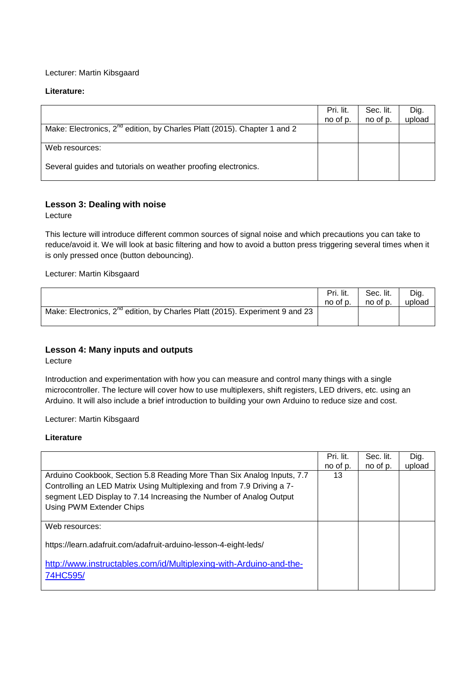#### Lecturer: Martin Kibsgaard

#### **Literature:**

|                                                                                      | Pri. lit.<br>no of p. | Sec. lit.<br>no of p. | Dig.<br>upload |
|--------------------------------------------------------------------------------------|-----------------------|-----------------------|----------------|
| Make: Electronics, 2 <sup>nd</sup> edition, by Charles Platt (2015). Chapter 1 and 2 |                       |                       |                |
| Web resources:                                                                       |                       |                       |                |
| Several guides and tutorials on weather proofing electronics.                        |                       |                       |                |

# **Lesson 3: Dealing with noise**

Lecture

This lecture will introduce different common sources of signal noise and which precautions you can take to reduce/avoid it. We will look at basic filtering and how to avoid a button press triggering several times when it is only pressed once (button debouncing).

Lecturer: Martin Kibsgaard

|                                                                                   | Pri. lit. | Sec. lit. | Dig.   |
|-----------------------------------------------------------------------------------|-----------|-----------|--------|
|                                                                                   | no of p.  | no of p.  | upload |
| Make: Electronics, $2^{nd}$ edition, by Charles Platt (2015). Experiment 9 and 23 |           |           |        |

# **Lesson 4: Many inputs and outputs**

Lecture

Introduction and experimentation with how you can measure and control many things with a single microcontroller. The lecture will cover how to use multiplexers, shift registers, LED drivers, etc. using an Arduino. It will also include a brief introduction to building your own Arduino to reduce size and cost.

Lecturer: Martin Kibsgaard

|                                                                                                                                                                                                                                                    | Pri. lit.<br>no of p. | Sec. lit.<br>no of p. | Dig.<br>upload |
|----------------------------------------------------------------------------------------------------------------------------------------------------------------------------------------------------------------------------------------------------|-----------------------|-----------------------|----------------|
| Arduino Cookbook, Section 5.8 Reading More Than Six Analog Inputs, 7.7<br>Controlling an LED Matrix Using Multiplexing and from 7.9 Driving a 7-<br>segment LED Display to 7.14 Increasing the Number of Analog Output<br>Using PWM Extender Chips | 13                    |                       |                |
| Web resources:                                                                                                                                                                                                                                     |                       |                       |                |
| https://learn.adafruit.com/adafruit-arduino-lesson-4-eight-leds/                                                                                                                                                                                   |                       |                       |                |
| http://www.instructables.com/id/Multiplexing-with-Arduino-and-the-<br>74HC595/                                                                                                                                                                     |                       |                       |                |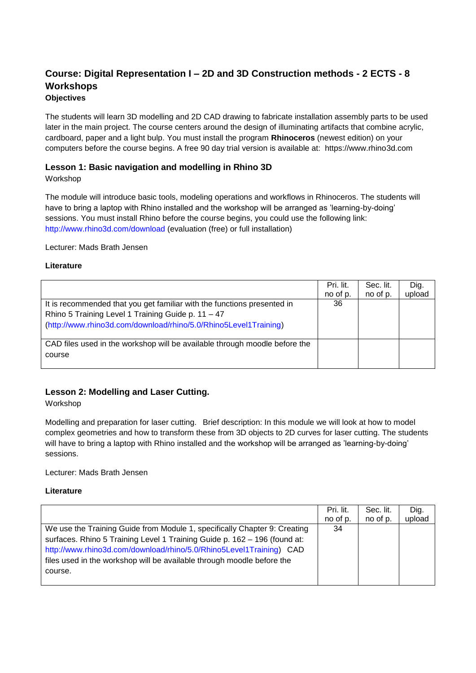# **Course: Digital Representation I – 2D and 3D Construction methods - 2 ECTS - 8 Workshops**

# **Objectives**

The students will learn 3D modelling and 2D CAD drawing to fabricate installation assembly parts to be used later in the main project. The course centers around the design of illuminating artifacts that combine acrylic, cardboard, paper and a light bulp. You must install the program **Rhinoceros** (newest edition) on your computers before the course begins. A free 90 day trial version is available at: https://www.rhino3d.com

# **Lesson 1: Basic navigation and modelling in Rhino 3D**

Workshop

The module will introduce basic tools, modeling operations and workflows in Rhinoceros. The students will have to bring a laptop with Rhino installed and the workshop will be arranged as 'learning-by-doing' sessions. You must install Rhino before the course begins, you could use the following link: http://www.rhino3d.com/download (evaluation (free) or full installation)

Lecturer: Mads Brath Jensen

#### **Literature**

|                                                                                                                                                                                                   | Pri. lit.<br>no of p. | Sec. lit.<br>no of p. | Dig.<br>upload |
|---------------------------------------------------------------------------------------------------------------------------------------------------------------------------------------------------|-----------------------|-----------------------|----------------|
| It is recommended that you get familiar with the functions presented in<br>Rhino 5 Training Level 1 Training Guide p. 11 - 47<br>(http://www.rhino3d.com/download/rhino/5.0/Rhino5Level1Training) | 36                    |                       |                |
| CAD files used in the workshop will be available through moodle before the<br>course                                                                                                              |                       |                       |                |

# **Lesson 2: Modelling and Laser Cutting.**

Workshop

Modelling and preparation for laser cutting. Brief description: In this module we will look at how to model complex geometries and how to transform these from 3D objects to 2D curves for laser cutting. The students will have to bring a laptop with Rhino installed and the workshop will be arranged as 'learning-by-doing' sessions.

Lecturer: Mads Brath Jensen

|                                                                           | Pri. lit. | Sec. lit. | Dig.   |
|---------------------------------------------------------------------------|-----------|-----------|--------|
|                                                                           | no of p.  | no of p.  | upload |
| We use the Training Guide from Module 1, specifically Chapter 9: Creating | 34        |           |        |
| surfaces. Rhino 5 Training Level 1 Training Guide p. 162 - 196 (found at: |           |           |        |
| http://www.rhino3d.com/download/rhino/5.0/Rhino5Level1Training) CAD       |           |           |        |
| files used in the workshop will be available through moodle before the    |           |           |        |
| course.                                                                   |           |           |        |
|                                                                           |           |           |        |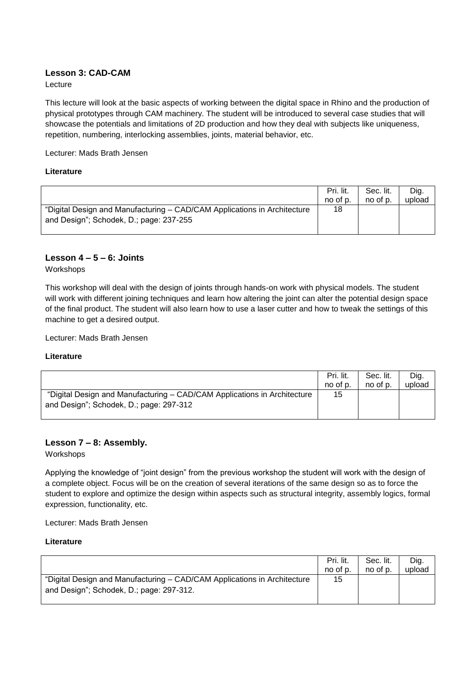# **Lesson 3: CAD-CAM**

Lecture

This lecture will look at the basic aspects of working between the digital space in Rhino and the production of physical prototypes through CAM machinery. The student will be introduced to several case studies that will showcase the potentials and limitations of 2D production and how they deal with subjects like uniqueness, repetition, numbering, interlocking assemblies, joints, material behavior, etc.

Lecturer: Mads Brath Jensen

#### **Literature**

|                                                                                                                     | Pri. lit. | Sec. lit. | Dig.   |
|---------------------------------------------------------------------------------------------------------------------|-----------|-----------|--------|
|                                                                                                                     | no of p.  | no of p.  | upload |
| "Digital Design and Manufacturing - CAD/CAM Applications in Architecture<br>and Design"; Schodek, D.; page: 237-255 | 18        |           |        |

#### **Lesson 4 – 5 – 6: Joints**

Workshops

This workshop will deal with the design of joints through hands-on work with physical models. The student will work with different joining techniques and learn how altering the joint can alter the potential design space of the final product. The student will also learn how to use a laser cutter and how to tweak the settings of this machine to get a desired output.

Lecturer: Mads Brath Jensen

#### **Literature**

|                                                                                                                     | Pri. lit. | Sec. lit. | Dig.   |
|---------------------------------------------------------------------------------------------------------------------|-----------|-----------|--------|
|                                                                                                                     | no of p.  | no of p.  | upload |
| "Digital Design and Manufacturing - CAD/CAM Applications in Architecture<br>and Design"; Schodek, D.; page: 297-312 | 15        |           |        |

#### **Lesson 7 – 8: Assembly.**

Workshops

Applying the knowledge of "joint design" from the previous workshop the student will work with the design of a complete object. Focus will be on the creation of several iterations of the same design so as to force the student to explore and optimize the design within aspects such as structural integrity, assembly logics, formal expression, functionality, etc.

Lecturer: Mads Brath Jensen

|                                                                                                                      | Pri. lit. | Sec. lit. | Dig.   |
|----------------------------------------------------------------------------------------------------------------------|-----------|-----------|--------|
|                                                                                                                      | no of p.  | no of p.  | upload |
| "Digital Design and Manufacturing - CAD/CAM Applications in Architecture<br>and Design"; Schodek, D.; page: 297-312. | 15        |           |        |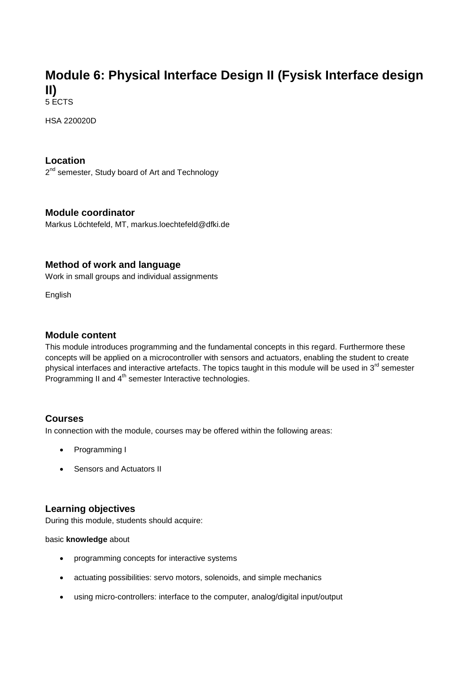# **Module 6: Physical Interface Design II (Fysisk Interface design II)**

5 ECTS

HSA 220020D

# **Location**

2<sup>nd</sup> semester, Study board of Art and Technology

# **Module coordinator**

Markus Löchtefeld, MT, markus.loechtefeld@dfki.de

# **Method of work and language**

Work in small groups and individual assignments

English

# **Module content**

This module introduces programming and the fundamental concepts in this regard. Furthermore these concepts will be applied on a microcontroller with sensors and actuators, enabling the student to create physical interfaces and interactive artefacts. The topics taught in this module will be used in 3<sup>rd</sup> semester Programming II and 4<sup>th</sup> semester Interactive technologies.

# **Courses**

In connection with the module, courses may be offered within the following areas:

- Programming I
- Sensors and Actuators II

# **Learning objectives**

During this module, students should acquire:

basic **knowledge** about

- programming concepts for interactive systems
- actuating possibilities: servo motors, solenoids, and simple mechanics
- using micro-controllers: interface to the computer, analog/digital input/output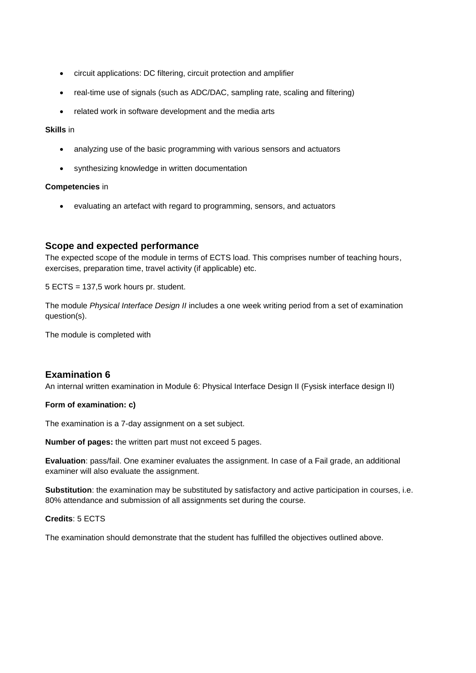- circuit applications: DC filtering, circuit protection and amplifier
- real-time use of signals (such as ADC/DAC, sampling rate, scaling and filtering)
- related work in software development and the media arts

#### **Skills** in

- analyzing use of the basic programming with various sensors and actuators
- synthesizing knowledge in written documentation

#### **Competencies** in

evaluating an artefact with regard to programming, sensors, and actuators

# **Scope and expected performance**

The expected scope of the module in terms of ECTS load. This comprises number of teaching hours, exercises, preparation time, travel activity (if applicable) etc.

5 ECTS = 137,5 work hours pr. student.

The module *Physical Interface Design II* includes a one week writing period from a set of examination question(s).

The module is completed with

# **Examination 6**

An internal written examination in Module 6: Physical Interface Design II (Fysisk interface design II)

#### **Form of examination: c)**

The examination is a 7-day assignment on a set subject.

**Number of pages:** the written part must not exceed 5 pages.

**Evaluation**: pass/fail. One examiner evaluates the assignment. In case of a Fail grade, an additional examiner will also evaluate the assignment.

**Substitution**: the examination may be substituted by satisfactory and active participation in courses, i.e. 80% attendance and submission of all assignments set during the course.

#### **Credits**: 5 ECTS

The examination should demonstrate that the student has fulfilled the objectives outlined above.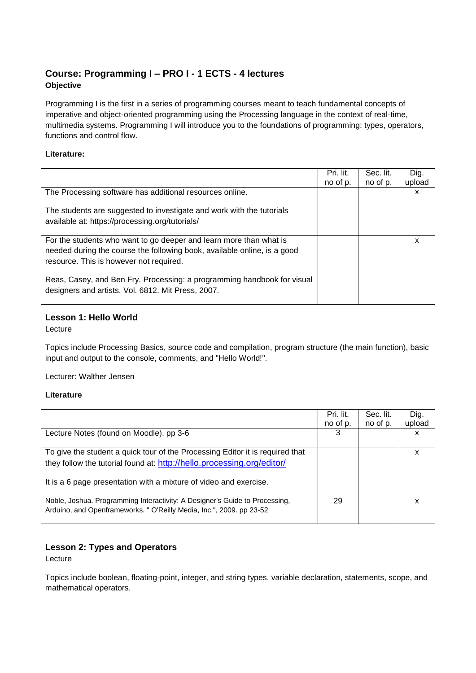# **Course: Programming I – PRO I - 1 ECTS - 4 lectures Objective**

Programming I is the first in a series of programming courses meant to teach fundamental concepts of imperative and object-oriented programming using the Processing language in the context of real-time, multimedia systems. Programming I will introduce you to the foundations of programming: types, operators, functions and control flow.

#### **Literature:**

|                                                                                                                               | Pri. lit.<br>no of p. | Sec. lit.<br>no of p. | Dig.<br>upload |
|-------------------------------------------------------------------------------------------------------------------------------|-----------------------|-----------------------|----------------|
| The Processing software has additional resources online.                                                                      |                       |                       | x              |
| The students are suggested to investigate and work with the tutorials<br>available at: https://processing.org/tutorials/      |                       |                       |                |
| For the students who want to go deeper and learn more than what is                                                            |                       |                       | x              |
| needed during the course the following book, available online, is a good                                                      |                       |                       |                |
| resource. This is however not required.                                                                                       |                       |                       |                |
| Reas, Casey, and Ben Fry. Processing: a programming handbook for visual<br>designers and artists. Vol. 6812. Mit Press, 2007. |                       |                       |                |

# **Lesson 1: Hello World**

Lecture

Topics include Processing Basics, source code and compilation, program structure (the main function), basic input and output to the console, comments, and "Hello World!".

Lecturer: Walther Jensen

#### **Literature**

|                                                                                                                                                                                                                              | Pri. lit.<br>no of p. | Sec. lit.<br>no of p. | Dig.<br>upload |
|------------------------------------------------------------------------------------------------------------------------------------------------------------------------------------------------------------------------------|-----------------------|-----------------------|----------------|
| Lecture Notes (found on Moodle). pp 3-6                                                                                                                                                                                      | 3                     |                       | x              |
| To give the student a quick tour of the Processing Editor it is required that<br>they follow the tutorial found at: http://hello.processing.org/editor/<br>It is a 6 page presentation with a mixture of video and exercise. |                       |                       | х              |
| Noble, Joshua. Programming Interactivity: A Designer's Guide to Processing,<br>Arduino, and Openframeworks. " O'Reilly Media, Inc.", 2009. pp 23-52                                                                          | 29                    |                       | x              |

# **Lesson 2: Types and Operators**

Lecture

Topics include boolean, floating-point, integer, and string types, variable declaration, statements, scope, and mathematical operators.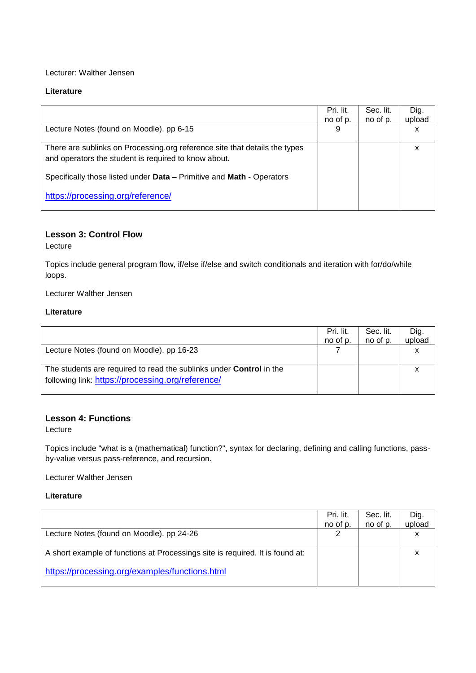#### Lecturer: Walther Jensen

#### **Literature**

|                                                                                                                                    | Pri. lit.<br>no of p. | Sec. lit.<br>no of p. | Dig.<br>upload |
|------------------------------------------------------------------------------------------------------------------------------------|-----------------------|-----------------------|----------------|
| Lecture Notes (found on Moodle). pp 6-15                                                                                           | 9                     |                       | х              |
| There are sublinks on Processing org reference site that details the types<br>and operators the student is required to know about. |                       |                       | x              |
| Specifically those listed under Data - Primitive and Math - Operators                                                              |                       |                       |                |
| https://processing.org/reference/                                                                                                  |                       |                       |                |

# **Lesson 3: Control Flow**

Lecture

Topics include general program flow, if/else if/else and switch conditionals and iteration with for/do/while loops.

Lecturer Walther Jensen

#### **Literature**

|                                                                            | Pri. lit. | Sec. lit. | Dig.<br>upload |
|----------------------------------------------------------------------------|-----------|-----------|----------------|
|                                                                            | no of p.  | no of p.  |                |
| Lecture Notes (found on Moodle). pp 16-23                                  |           |           |                |
|                                                                            |           |           |                |
| The students are required to read the sublinks under <b>Control</b> in the |           |           |                |
| following link: https://processing.org/reference/                          |           |           |                |
|                                                                            |           |           |                |

### **Lesson 4: Functions**

Lecture

Topics include "what is a (mathematical) function?", syntax for declaring, defining and calling functions, passby-value versus pass-reference, and recursion.

Lecturer Walther Jensen

|                                                                               | Pri. lit.<br>no of p. | Sec. lit.<br>no of p. | Dig.<br>upload |
|-------------------------------------------------------------------------------|-----------------------|-----------------------|----------------|
| Lecture Notes (found on Moodle). pp 24-26                                     | ⌒                     |                       |                |
| A short example of functions at Processings site is required. It is found at: |                       |                       |                |
| https://processing.org/examples/functions.html                                |                       |                       |                |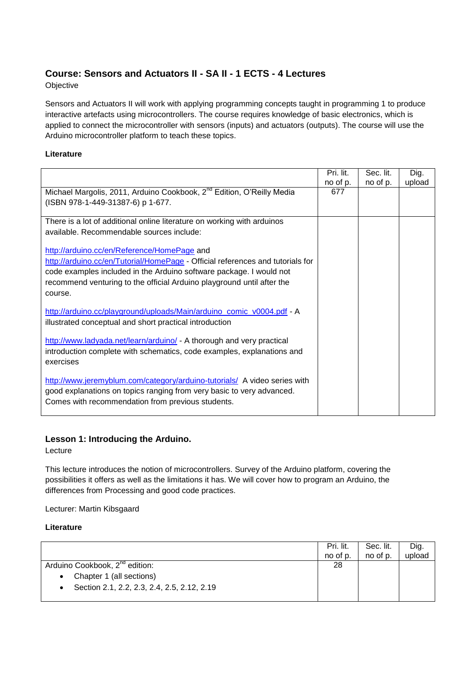# **Course: Sensors and Actuators II - SA II - 1 ECTS - 4 Lectures**

#### **Objective**

Sensors and Actuators II will work with applying programming concepts taught in programming 1 to produce interactive artefacts using microcontrollers. The course requires knowledge of basic electronics, which is applied to connect the microcontroller with sensors (inputs) and actuators (outputs). The course will use the Arduino microcontroller platform to teach these topics.

#### **Literature**

|                                                                                   | Pri. lit. | Sec. lit. | Dig.   |
|-----------------------------------------------------------------------------------|-----------|-----------|--------|
|                                                                                   | no of p.  | no of p.  | upload |
| Michael Margolis, 2011, Arduino Cookbook, 2 <sup>nd</sup> Edition, O'Reilly Media | 677       |           |        |
| (ISBN 978-1-449-31387-6) p 1-677.                                                 |           |           |        |
|                                                                                   |           |           |        |
| There is a lot of additional online literature on working with arduinos           |           |           |        |
| available. Recommendable sources include:                                         |           |           |        |
|                                                                                   |           |           |        |
| http://arduino.cc/en/Reference/HomePage and                                       |           |           |        |
| http://arduino.cc/en/Tutorial/HomePage - Official references and tutorials for    |           |           |        |
| code examples included in the Arduino software package. I would not               |           |           |        |
| recommend venturing to the official Arduino playground until after the            |           |           |        |
| course.                                                                           |           |           |        |
|                                                                                   |           |           |        |
| http://arduino.cc/playground/uploads/Main/arduino_comic_v0004.pdf - A             |           |           |        |
| illustrated conceptual and short practical introduction                           |           |           |        |
|                                                                                   |           |           |        |
| http://www.ladyada.net/learn/arduino/ - A thorough and very practical             |           |           |        |
| introduction complete with schematics, code examples, explanations and            |           |           |        |
| exercises                                                                         |           |           |        |
|                                                                                   |           |           |        |
| http://www.jeremyblum.com/category/arduino-tutorials/ A video series with         |           |           |        |
| good explanations on topics ranging from very basic to very advanced.             |           |           |        |
| Comes with recommendation from previous students.                                 |           |           |        |
|                                                                                   |           |           |        |

# **Lesson 1: Introducing the Arduino.**

Lecture

This lecture introduces the notion of microcontrollers. Survey of the Arduino platform, covering the possibilities it offers as well as the limitations it has. We will cover how to program an Arduino, the differences from Processing and good code practices.

Lecturer: Martin Kibsgaard

|                                                          | Pri. lit.<br>no of p. | Sec. lit.<br>no of p. | Dig.<br>upload |
|----------------------------------------------------------|-----------------------|-----------------------|----------------|
| Arduino Cookbook, 2 <sup>nd</sup> edition:               | 28                    |                       |                |
| Chapter 1 (all sections)<br>$\bullet$                    |                       |                       |                |
| Section 2.1, 2.2, 2.3, 2.4, 2.5, 2.12, 2.19<br>$\bullet$ |                       |                       |                |
|                                                          |                       |                       |                |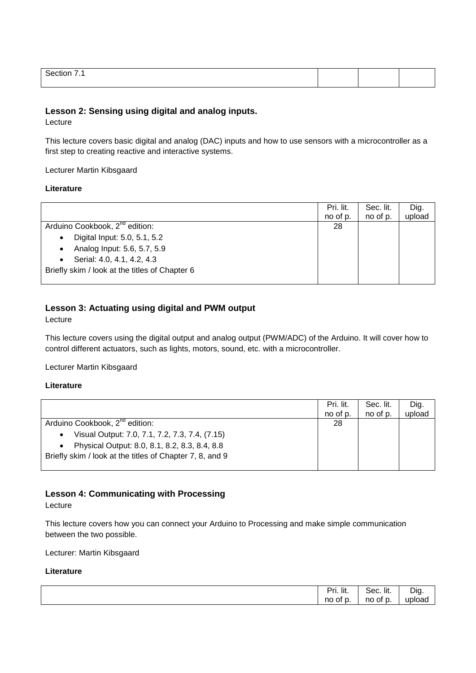| - |  |  |
|---|--|--|
|   |  |  |

# **Lesson 2: Sensing using digital and analog inputs.**

Lecture

This lecture covers basic digital and analog (DAC) inputs and how to use sensors with a microcontroller as a first step to creating reactive and interactive systems.

Lecturer Martin Kibsgaard

#### **Literature**

|                                                | Pri. lit. | Sec. lit. | Dig.   |
|------------------------------------------------|-----------|-----------|--------|
|                                                | no of p.  | no of p.  | upload |
| Arduino Cookbook, 2 <sup>nd</sup> edition:     | 28        |           |        |
| Digital Input: 5.0, 5.1, 5.2<br>$\bullet$      |           |           |        |
| Analog Input: 5.6, 5.7, 5.9<br>$\bullet$       |           |           |        |
| Serial: 4.0, 4.1, 4.2, 4.3<br>$\bullet$        |           |           |        |
| Briefly skim / look at the titles of Chapter 6 |           |           |        |
|                                                |           |           |        |

# **Lesson 3: Actuating using digital and PWM output**

Lecture

This lecture covers using the digital output and analog output (PWM/ADC) of the Arduino. It will cover how to control different actuators, such as lights, motors, sound, etc. with a microcontroller.

Lecturer Martin Kibsgaard

#### **Literature**

|                                                             | Pri. lit.<br>no of p. | Sec. lit.<br>no of p. | Dig.<br>upload |
|-------------------------------------------------------------|-----------------------|-----------------------|----------------|
| Arduino Cookbook, 2 <sup>nd</sup> edition:                  | 28                    |                       |                |
| Visual Output: 7.0, 7.1, 7.2, 7.3, 7.4, (7.15)<br>$\bullet$ |                       |                       |                |
| Physical Output: 8.0, 8.1, 8.2, 8.3, 8.4, 8.8<br>$\bullet$  |                       |                       |                |
| Briefly skim / look at the titles of Chapter 7, 8, and 9    |                       |                       |                |
|                                                             |                       |                       |                |

# **Lesson 4: Communicating with Processing**

Lecture

This lecture covers how you can connect your Arduino to Processing and make simple communication between the two possible.

Lecturer: Martin Kibsgaard

| Dri<br>ri. lit. | .<br>$\sim$<br>Sec. lit. | $-$<br>Dia. |
|-----------------|--------------------------|-------------|
| no<br>ot p<br>  | no<br>of p<br>ັບ.        | Πr<br>ιαι   |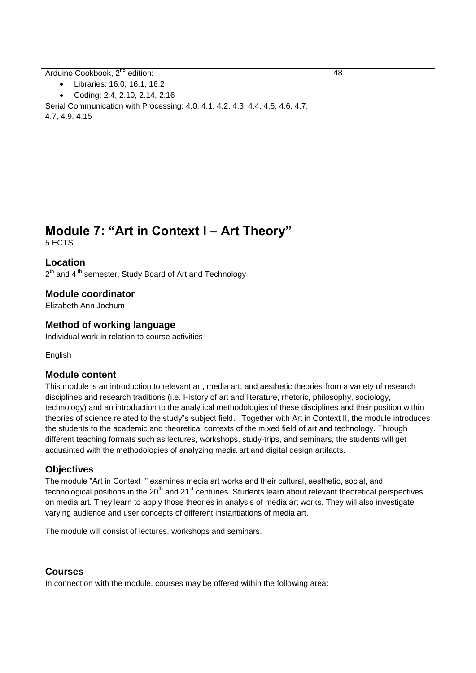| Arduino Cookbook, 2 <sup>nd</sup> edition:                                    | 48 |  |
|-------------------------------------------------------------------------------|----|--|
| Libraries: 16.0, 16.1, 16.2                                                   |    |  |
| Coding: 2.4, 2.10, 2.14, 2.16                                                 |    |  |
| Serial Communication with Processing: 4.0, 4.1, 4.2, 4.3, 4.4, 4.5, 4.6, 4.7, |    |  |
| 4.7, 4.9, 4.15                                                                |    |  |
|                                                                               |    |  |

# **Module 7: "Art in Context I – Art Theory"**

5 ECTS

**Location**

2<sup>th</sup> and 4<sup>th</sup> semester, Study Board of Art and Technology

# **Module coordinator**

Elizabeth Ann Jochum

# **Method of working language**

Individual work in relation to course activities

**English** 

# **Module content**

This module is an introduction to relevant art, media art, and aesthetic theories from a variety of research disciplines and research traditions (i.e. History of art and literature, rhetoric, philosophy, sociology, technology) and an introduction to the analytical methodologies of these disciplines and their position within theories of science related to the study"s subject field. Together with Art in Context II, the module introduces the students to the academic and theoretical contexts of the mixed field of art and technology. Through different teaching formats such as lectures, workshops, study-trips, and seminars, the students will get acquainted with the methodologies of analyzing media art and digital design artifacts.

# **Objectives**

The module "Art in Context I" examines media art works and their cultural, aesthetic, social, and technological positions in the  $20<sup>th</sup>$  and  $21<sup>st</sup>$  centuries. Students learn about relevant theoretical perspectives on media art. They learn to apply those theories in analysis of media art works. They will also investigate varying audience and user concepts of different instantiations of media art.

The module will consist of lectures, workshops and seminars.

# **Courses**

In connection with the module, courses may be offered within the following area: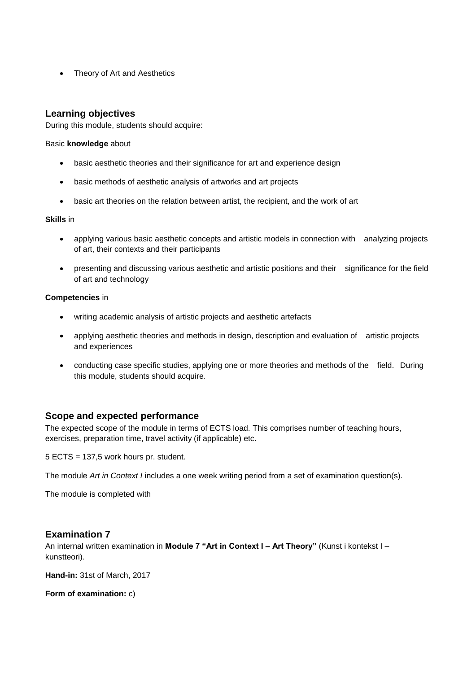Theory of Art and Aesthetics

# **Learning objectives**

During this module, students should acquire:

#### Basic **knowledge** about

- basic aesthetic theories and their significance for art and experience design
- basic methods of aesthetic analysis of artworks and art projects
- basic art theories on the relation between artist, the recipient, and the work of art

#### **Skills** in

- applying various basic aesthetic concepts and artistic models in connection with analyzing projects of art, their contexts and their participants
- presenting and discussing various aesthetic and artistic positions and their significance for the field of art and technology

#### **Competencies** in

- writing academic analysis of artistic projects and aesthetic artefacts
- applying aesthetic theories and methods in design, description and evaluation of artistic projects and experiences
- conducting case specific studies, applying one or more theories and methods of the field. During this module, students should acquire.

# **Scope and expected performance**

The expected scope of the module in terms of ECTS load. This comprises number of teaching hours, exercises, preparation time, travel activity (if applicable) etc.

5 ECTS = 137,5 work hours pr. student.

The module *Art in Context I* includes a one week writing period from a set of examination question(s).

The module is completed with

# **Examination 7**

An internal written examination in **Module 7 "Art in Context I – Art Theory"** (Kunst i kontekst I – kunstteori).

**Hand-in:** 31st of March, 2017

**Form of examination:** c)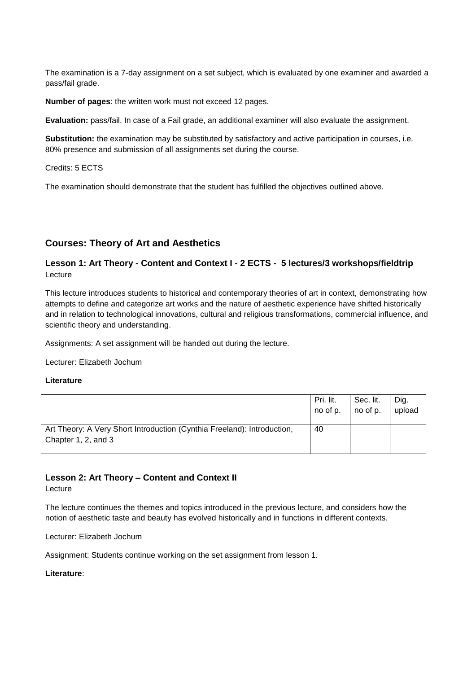The examination is a 7-day assignment on a set subject, which is evaluated by one examiner and awarded a pass/fail grade.

**Number of pages**: the written work must not exceed 12 pages.

**Evaluation:** pass/fail. In case of a Fail grade, an additional examiner will also evaluate the assignment.

**Substitution:** the examination may be substituted by satisfactory and active participation in courses, i.e. 80% presence and submission of all assignments set during the course.

Credits: 5 ECTS

The examination should demonstrate that the student has fulfilled the objectives outlined above.

# **Courses: Theory of Art and Aesthetics**

# **Lesson 1: Art Theory - Content and Context I - 2 ECTS - 5 lectures/3 workshops/fieldtrip** Lecture

This lecture introduces students to historical and contemporary theories of art in context, demonstrating how attempts to define and categorize art works and the nature of aesthetic experience have shifted historically and in relation to technological innovations, cultural and religious transformations, commercial influence, and scientific theory and understanding.

Assignments: A set assignment will be handed out during the lecture.

Lecturer: Elizabeth Jochum

#### **Literature**

|                                                                                                | Pri. lit. | Sec. lit. | Dig.   |
|------------------------------------------------------------------------------------------------|-----------|-----------|--------|
|                                                                                                | no of p.  | no of p.  | upload |
| Art Theory: A Very Short Introduction (Cynthia Freeland): Introduction,<br>Chapter 1, 2, and 3 | 40        |           |        |

**Lesson 2: Art Theory – Content and Context II**

#### Lecture

The lecture continues the themes and topics introduced in the previous lecture, and considers how the notion of aesthetic taste and beauty has evolved historically and in functions in different contexts.

Lecturer: Elizabeth Jochum

Assignment: Students continue working on the set assignment from lesson 1.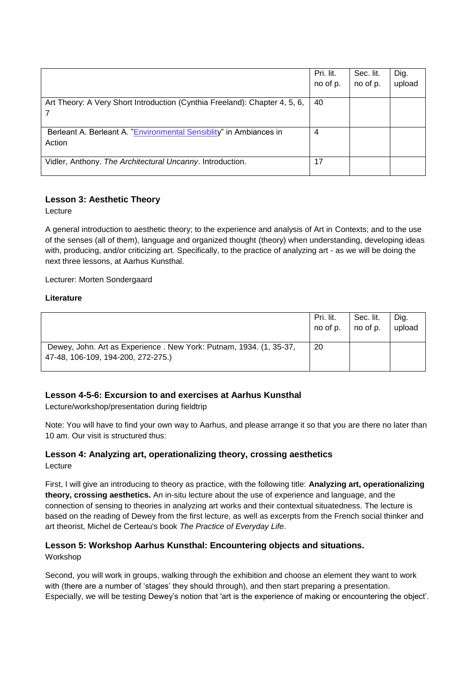|                                                                              | Pri. lit.<br>no of p. | Sec. lit.<br>no of p. | Dig.<br>upload |
|------------------------------------------------------------------------------|-----------------------|-----------------------|----------------|
| Art Theory: A Very Short Introduction (Cynthia Freeland): Chapter 4, 5, 6,   | 40                    |                       |                |
| Berleant A. Berleant A. "Environmental Sensiblity" in Ambiances in<br>Action | $\overline{4}$        |                       |                |
| Vidler, Anthony. The Architectural Uncanny. Introduction.                    | 17                    |                       |                |

# **Lesson 3: Aesthetic Theory**

Lecture

A general introduction to aesthetic theory; to the experience and analysis of Art in Contexts; and to the use of the senses (all of them), language and organized thought (theory) when understanding, developing ideas with, producing, and/or criticizing art. Specifically, to the practice of analyzing art - as we will be doing the next three lessons, at Aarhus Kunsthal.

Lecturer: Morten Sondergaard

#### **Literature**

|                                                                                                          | Pri. lit. | Sec. lit. | Dig.   |
|----------------------------------------------------------------------------------------------------------|-----------|-----------|--------|
|                                                                                                          | no of p.  | no of p.  | upload |
| Dewey, John. Art as Experience. New York: Putnam, 1934. (1, 35-37,<br>47-48, 106-109, 194-200, 272-275.) | 20        |           |        |

# **Lesson 4-5-6: Excursion to and exercises at Aarhus Kunsthal**

Lecture/workshop/presentation during fieldtrip

Note: You will have to find your own way to Aarhus, and please arrange it so that you are there no later than 10 am. Our visit is structured thus:

# **Lesson 4: Analyzing art, operationalizing theory, crossing aesthetics**

Lecture

First, I will give an introducing to theory as practice, with the following title: **Analyzing art, operationalizing theory, crossing aesthetics.** An in-situ lecture about the use of experience and language, and the connection of sensing to theories in analyzing art works and their contextual situatedness. The lecture is based on the reading of Dewey from the first lecture, as well as excerpts from the French social thinker and art theorist, Michel de Certeau's book *The Practice of Everyday Life*.

# **Lesson 5: Workshop Aarhus Kunsthal: Encountering objects and situations.**

Workshop

Second, you will work in groups, walking through the exhibition and choose an element they want to work with (there are a number of 'stages' they should through), and then start preparing a presentation. Especially, we will be testing Dewey's notion that 'art is the experience of making or encountering the object'.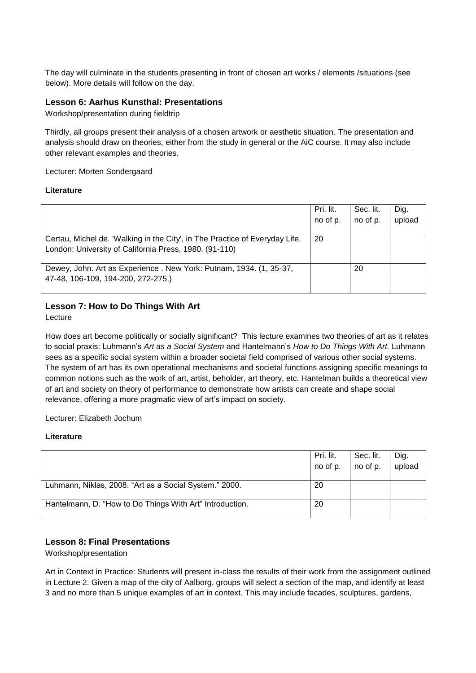The day will culminate in the students presenting in front of chosen art works / elements /situations (see below). More details will follow on the day.

#### **Lesson 6: Aarhus Kunsthal: Presentations**

Workshop/presentation during fieldtrip

Thirdly, all groups present their analysis of a chosen artwork or aesthetic situation. The presentation and analysis should draw on theories, either from the study in general or the AiC course. It may also include other relevant examples and theories.

Lecturer: Morten Sondergaard

#### **Literature**

|                                                                                                                                       | Pri. lit.<br>no of p. | Sec. lit.<br>no of p. | Dig.<br>upload |
|---------------------------------------------------------------------------------------------------------------------------------------|-----------------------|-----------------------|----------------|
| Certau, Michel de. 'Walking in the City', in The Practice of Everyday Life.<br>London: University of California Press, 1980. (91-110) | 20                    |                       |                |
| Dewey, John. Art as Experience. New York: Putnam, 1934. (1, 35-37,<br>47-48, 106-109, 194-200, 272-275.)                              |                       | 20                    |                |

# **Lesson 7: How to Do Things With Art**

Lecture

How does art become politically or socially significant? This lecture examines two theories of art as it relates to social praxis: Luhmann's *Art as a Social System* and Hantelmann's *How to Do Things With Art.* Luhmann sees as a specific social system within a broader societal field comprised of various other social systems. The system of art has its own operational mechanisms and societal functions assigning specific meanings to common notions such as the work of art, artist, beholder, art theory, etc. Hantelman builds a theoretical view of art and society on theory of performance to demonstrate how artists can create and shape social relevance, offering a more pragmatic view of art's impact on society.

Lecturer: Elizabeth Jochum

#### **Literature**

|                                                          | Pri. lit.<br>no of p. | Sec. lit.<br>no of p. | Dig.<br>upload |
|----------------------------------------------------------|-----------------------|-----------------------|----------------|
| Luhmann, Niklas, 2008. "Art as a Social System." 2000.   | 20                    |                       |                |
| Hantelmann, D. "How to Do Things With Art" Introduction. | 20                    |                       |                |

# **Lesson 8: Final Presentations**

Workshop/presentation

Art in Context in Practice: Students will present in-class the results of their work from the assignment outlined in Lecture 2. Given a map of the city of Aalborg, groups will select a section of the map, and identify at least 3 and no more than 5 unique examples of art in context. This may include facades, sculptures, gardens,